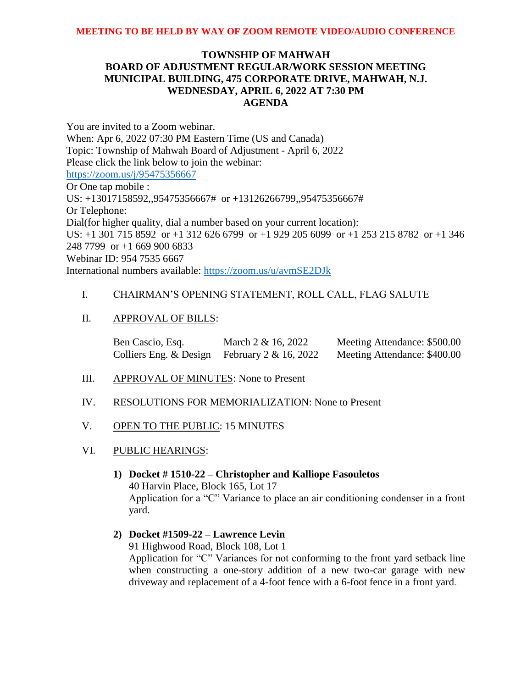# **TOWNSHIP OF MAHWAH BOARD OF ADJUSTMENT REGULAR/WORK SESSION MEETING MUNICIPAL BUILDING, 475 CORPORATE DRIVE, MAHWAH, N.J. WEDNESDAY, APRIL 6, 2022 AT 7:30 PM AGENDA**

You are invited to a Zoom webinar. When: Apr 6, 2022 07:30 PM Eastern Time (US and Canada) Topic: Township of Mahwah Board of Adjustment - April 6, 2022 Please click the link below to join the webinar: <https://zoom.us/j/95475356667> Or One tap mobile : US: +13017158592,,95475356667# or +13126266799,,95475356667# Or Telephone: Dial(for higher quality, dial a number based on your current location): US: +1 301 715 8592 or +1 312 626 6799 or +1 929 205 6099 or +1 253 215 8782 or +1 346 248 7799 or +1 669 900 6833 Webinar ID: 954 7535 6667 International numbers available:<https://zoom.us/u/avmSE2DJk>

## I. CHAIRMAN'S OPENING STATEMENT, ROLL CALL, FLAG SALUTE

II. APPROVAL OF BILLS:

| Ben Cascio, Esq.       | March 2 & 16, 2022    | Meeting Attendance: \$500.00 |
|------------------------|-----------------------|------------------------------|
| Colliers Eng. & Design | February 2 & 16, 2022 | Meeting Attendance: \$400.00 |

- III. APPROVAL OF MINUTES: None to Present
- IV. RESOLUTIONS FOR MEMORIALIZATION: None to Present
- V. OPEN TO THE PUBLIC: 15 MINUTES
- VI. PUBLIC HEARINGS:
	- **1) Docket # 1510-22 – Christopher and Kalliope Fasouletos** 40 Harvin Place, Block 165, Lot 17 Application for a "C" Variance to place an air conditioning condenser in a front yard.
	- **2) Docket #1509-22 – Lawrence Levin** 91 Highwood Road, Block 108, Lot 1

Application for "C" Variances for not conforming to the front yard setback line when constructing a one-story addition of a new two-car garage with new driveway and replacement of a 4-foot fence with a 6-foot fence in a front yard.